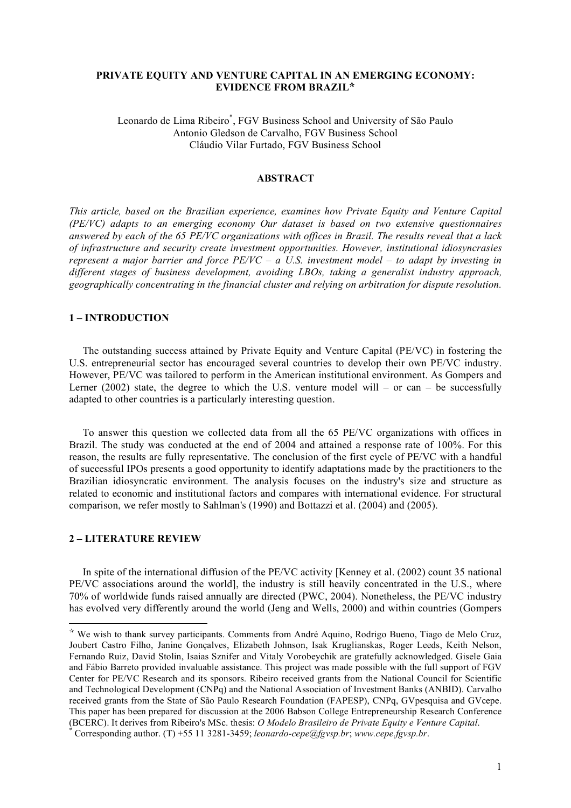## **PRIVATE EQUITY AND VENTURE CAPITAL IN AN EMERGING ECONOMY: EVIDENCE FROM BRAZIL**

Leonardo de Lima Ribeiro\* , FGV Business School and University of São Paulo Antonio Gledson de Carvalho, FGV Business School Cláudio Vilar Furtado, FGV Business School

# **ABSTRACT**

*This article, based on the Brazilian experience, examines how Private Equity and Venture Capital (PE/VC) adapts to an emerging economy Our dataset is based on two extensive questionnaires answered by each of the 65 PE/VC organizations with offices in Brazil. The results reveal that a lack of infrastructure and security create investment opportunities. However, institutional idiosyncrasies represent a major barrier and force PE/VC – a U.S. investment model – to adapt by investing in different stages of business development, avoiding LBOs, taking a generalist industry approach, geographically concentrating in the financial cluster and relying on arbitration for dispute resolution.*

## **1 – INTRODUCTION**

The outstanding success attained by Private Equity and Venture Capital (PE/VC) in fostering the U.S. entrepreneurial sector has encouraged several countries to develop their own PE/VC industry. However, PE/VC was tailored to perform in the American institutional environment. As Gompers and Lerner (2002) state, the degree to which the U.S. venture model will – or can – be successfully adapted to other countries is a particularly interesting question.

To answer this question we collected data from all the 65 PE/VC organizations with offices in Brazil. The study was conducted at the end of 2004 and attained a response rate of 100%. For this reason, the results are fully representative. The conclusion of the first cycle of PE/VC with a handful of successful IPOs presents a good opportunity to identify adaptations made by the practitioners to the Brazilian idiosyncratic environment. The analysis focuses on the industry's size and structure as related to economic and institutional factors and compares with international evidence. For structural comparison, we refer mostly to Sahlman's (1990) and Bottazzi et al. (2004) and (2005).

## **2 – LITERATURE REVIEW**

 $\overline{a}$ 

In spite of the international diffusion of the PE/VC activity [Kenney et al. (2002) count 35 national PE/VC associations around the world], the industry is still heavily concentrated in the U.S., where 70% of worldwide funds raised annually are directed (PWC, 2004). Nonetheless, the PE/VC industry has evolved very differently around the world (Jeng and Wells, 2000) and within countries (Gompers

We wish to thank survey participants. Comments from André Aquino, Rodrigo Bueno, Tiago de Melo Cruz, Joubert Castro Filho, Janine Gonçalves, Elizabeth Johnson, Isak Kruglianskas, Roger Leeds, Keith Nelson, Fernando Ruiz, David Stolin, Isaias Sznifer and Vitaly Vorobeychik are gratefully acknowledged. Gisele Gaia and Fábio Barreto provided invaluable assistance. This project was made possible with the full support of FGV Center for PE/VC Research and its sponsors. Ribeiro received grants from the National Council for Scientific and Technological Development (CNPq) and the National Association of Investment Banks (ANBID). Carvalho received grants from the State of São Paulo Research Foundation (FAPESP), CNPq, GVpesquisa and GVcepe. This paper has been prepared for discussion at the 2006 Babson College Entrepreneurship Research Conference (BCERC). It derives from Ribeiro's MSc. thesis: O Modelo Brasileiro de Private Equity e Venture Capital.<br>\* Corresponding author. (T) +55 11 3281-3459; leonardo-cepe@fgvsp.br; www.cepe.fgvsp.br.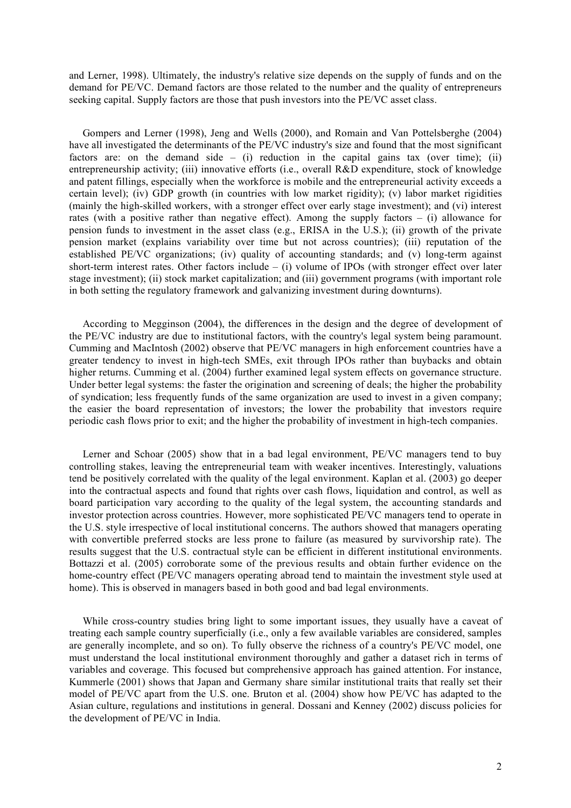and Lerner, 1998). Ultimately, the industry's relative size depends on the supply of funds and on the demand for PE/VC. Demand factors are those related to the number and the quality of entrepreneurs seeking capital. Supply factors are those that push investors into the PE/VC asset class.

Gompers and Lerner (1998), Jeng and Wells (2000), and Romain and Van Pottelsberghe (2004) have all investigated the determinants of the PE/VC industry's size and found that the most significant factors are: on the demand side – (i) reduction in the capital gains tax (over time); (ii) entrepreneurship activity; (iii) innovative efforts (i.e., overall R&D expenditure, stock of knowledge and patent fillings, especially when the workforce is mobile and the entrepreneurial activity exceeds a certain level); (iv) GDP growth (in countries with low market rigidity); (v) labor market rigidities (mainly the high-skilled workers, with a stronger effect over early stage investment); and (vi) interest rates (with a positive rather than negative effect). Among the supply factors  $-$  (i) allowance for pension funds to investment in the asset class (e.g., ERISA in the U.S.); (ii) growth of the private pension market (explains variability over time but not across countries); (iii) reputation of the established PE/VC organizations; (iv) quality of accounting standards; and (v) long-term against short-term interest rates. Other factors include – (i) volume of IPOs (with stronger effect over later stage investment); (ii) stock market capitalization; and (iii) government programs (with important role in both setting the regulatory framework and galvanizing investment during downturns).

According to Megginson (2004), the differences in the design and the degree of development of the PE/VC industry are due to institutional factors, with the country's legal system being paramount. Cumming and MacIntosh (2002) observe that PE/VC managers in high enforcement countries have a greater tendency to invest in high-tech SMEs, exit through IPOs rather than buybacks and obtain higher returns. Cumming et al. (2004) further examined legal system effects on governance structure. Under better legal systems: the faster the origination and screening of deals; the higher the probability of syndication; less frequently funds of the same organization are used to invest in a given company; the easier the board representation of investors; the lower the probability that investors require periodic cash flows prior to exit; and the higher the probability of investment in high-tech companies.

Lerner and Schoar (2005) show that in a bad legal environment, PE/VC managers tend to buy controlling stakes, leaving the entrepreneurial team with weaker incentives. Interestingly, valuations tend be positively correlated with the quality of the legal environment. Kaplan et al. (2003) go deeper into the contractual aspects and found that rights over cash flows, liquidation and control, as well as board participation vary according to the quality of the legal system, the accounting standards and investor protection across countries. However, more sophisticated PE/VC managers tend to operate in the U.S. style irrespective of local institutional concerns. The authors showed that managers operating with convertible preferred stocks are less prone to failure (as measured by survivorship rate). The results suggest that the U.S. contractual style can be efficient in different institutional environments. Bottazzi et al. (2005) corroborate some of the previous results and obtain further evidence on the home-country effect (PE/VC managers operating abroad tend to maintain the investment style used at home). This is observed in managers based in both good and bad legal environments.

While cross-country studies bring light to some important issues, they usually have a caveat of treating each sample country superficially (i.e., only a few available variables are considered, samples are generally incomplete, and so on). To fully observe the richness of a country's PE/VC model, one must understand the local institutional environment thoroughly and gather a dataset rich in terms of variables and coverage. This focused but comprehensive approach has gained attention. For instance, Kummerle (2001) shows that Japan and Germany share similar institutional traits that really set their model of PE/VC apart from the U.S. one. Bruton et al. (2004) show how PE/VC has adapted to the Asian culture, regulations and institutions in general. Dossani and Kenney (2002) discuss policies for the development of PE/VC in India.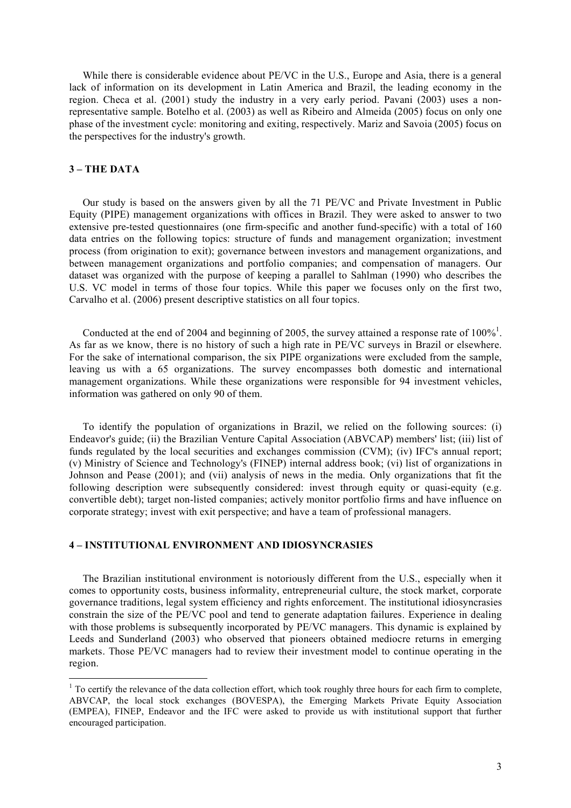While there is considerable evidence about PE/VC in the U.S., Europe and Asia, there is a general lack of information on its development in Latin America and Brazil, the leading economy in the region. Checa et al. (2001) study the industry in a very early period. Pavani (2003) uses a nonrepresentative sample. Botelho et al. (2003) as well as Ribeiro and Almeida (2005) focus on only one phase of the investment cycle: monitoring and exiting, respectively. Mariz and Savoia (2005) focus on the perspectives for the industry's growth.

# **3 – THE DATA**

Our study is based on the answers given by all the 71 PE/VC and Private Investment in Public Equity (PIPE) management organizations with offices in Brazil. They were asked to answer to two extensive pre-tested questionnaires (one firm-specific and another fund-specific) with a total of 160 data entries on the following topics: structure of funds and management organization; investment process (from origination to exit); governance between investors and management organizations, and between management organizations and portfolio companies; and compensation of managers. Our dataset was organized with the purpose of keeping a parallel to Sahlman (1990) who describes the U.S. VC model in terms of those four topics. While this paper we focuses only on the first two, Carvalho et al. (2006) present descriptive statistics on all four topics.

Conducted at the end of 2004 and beginning of 2005, the survey attained a response rate of  $100\%$ <sup>1</sup>. As far as we know, there is no history of such a high rate in PE/VC surveys in Brazil or elsewhere. For the sake of international comparison, the six PIPE organizations were excluded from the sample, leaving us with a 65 organizations. The survey encompasses both domestic and international management organizations. While these organizations were responsible for 94 investment vehicles, information was gathered on only 90 of them.

To identify the population of organizations in Brazil, we relied on the following sources: (i) Endeavor's guide; (ii) the Brazilian Venture Capital Association (ABVCAP) members' list; (iii) list of funds regulated by the local securities and exchanges commission (CVM); (iv) IFC's annual report; (v) Ministry of Science and Technology's (FINEP) internal address book; (vi) list of organizations in Johnson and Pease (2001); and (vii) analysis of news in the media. Only organizations that fit the following description were subsequently considered: invest through equity or quasi-equity (e.g. convertible debt); target non-listed companies; actively monitor portfolio firms and have influence on corporate strategy; invest with exit perspective; and have a team of professional managers.

#### **4 – INSTITUTIONAL ENVIRONMENT AND IDIOSYNCRASIES**

The Brazilian institutional environment is notoriously different from the U.S., especially when it comes to opportunity costs, business informality, entrepreneurial culture, the stock market, corporate governance traditions, legal system efficiency and rights enforcement. The institutional idiosyncrasies constrain the size of the PE/VC pool and tend to generate adaptation failures. Experience in dealing with those problems is subsequently incorporated by PE/VC managers. This dynamic is explained by Leeds and Sunderland (2003) who observed that pioneers obtained mediocre returns in emerging markets. Those PE/VC managers had to review their investment model to continue operating in the region.

<sup>&</sup>lt;sup>1</sup> To certify the relevance of the data collection effort, which took roughly three hours for each firm to complete, ABVCAP, the local stock exchanges (BOVESPA), the Emerging Markets Private Equity Association (EMPEA), FINEP, Endeavor and the IFC were asked to provide us with institutional support that further encouraged participation.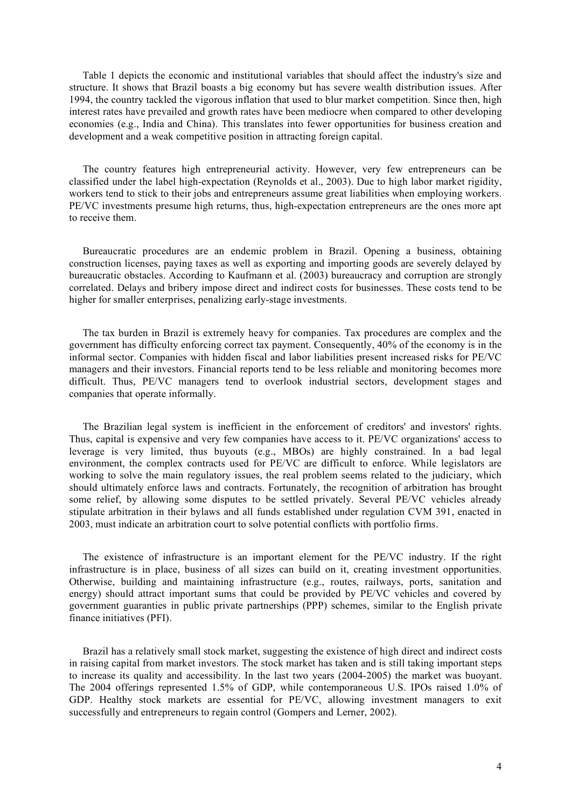Table 1 depicts the economic and institutional variables that should affect the industry's size and structure. It shows that Brazil boasts a big economy but has severe wealth distribution issues. After 1994, the country tackled the vigorous inflation that used to blur market competition. Since then, high interest rates have prevailed and growth rates have been mediocre when compared to other developing economies (e.g., India and China). This translates into fewer opportunities for business creation and development and a weak competitive position in attracting foreign capital.

The country features high entrepreneurial activity. However, very few entrepreneurs can be classified under the label high-expectation (Reynolds et al., 2003). Due to high labor market rigidity, workers tend to stick to their jobs and entrepreneurs assume great liabilities when employing workers. PE/VC investments presume high returns, thus, high-expectation entrepreneurs are the ones more apt to receive them.

Bureaucratic procedures are an endemic problem in Brazil. Opening a business, obtaining construction licenses, paying taxes as well as exporting and importing goods are severely delayed by bureaucratic obstacles. According to Kaufmann et al. (2003) bureaucracy and corruption are strongly correlated. Delays and bribery impose direct and indirect costs for businesses. These costs tend to be higher for smaller enterprises, penalizing early-stage investments.

The tax burden in Brazil is extremely heavy for companies. Tax procedures are complex and the government has difficulty enforcing correct tax payment. Consequently, 40% of the economy is in the informal sector. Companies with hidden fiscal and labor liabilities present increased risks for PE/VC managers and their investors. Financial reports tend to be less reliable and monitoring becomes more difficult. Thus, PE/VC managers tend to overlook industrial sectors, development stages and companies that operate informally.

The Brazilian legal system is inefficient in the enforcement of creditors' and investors' rights. Thus, capital is expensive and very few companies have access to it. PE/VC organizations' access to leverage is very limited, thus buyouts (e.g., MBOs) are highly constrained. In a bad legal environment, the complex contracts used for PE/VC are difficult to enforce. While legislators are working to solve the main regulatory issues, the real problem seems related to the judiciary, which should ultimately enforce laws and contracts. Fortunately, the recognition of arbitration has brought some relief, by allowing some disputes to be settled privately. Several PE/VC vehicles already stipulate arbitration in their bylaws and all funds established under regulation CVM 391, enacted in 2003, must indicate an arbitration court to solve potential conflicts with portfolio firms.

The existence of infrastructure is an important element for the PE/VC industry. If the right infrastructure is in place, business of all sizes can build on it, creating investment opportunities. Otherwise, building and maintaining infrastructure (e.g., routes, railways, ports, sanitation and energy) should attract important sums that could be provided by PE/VC vehicles and covered by government guaranties in public private partnerships (PPP) schemes, similar to the English private finance initiatives (PFI).

Brazil has a relatively small stock market, suggesting the existence of high direct and indirect costs in raising capital from market investors. The stock market has taken and is still taking important steps to increase its quality and accessibility. In the last two years (2004-2005) the market was buoyant. The 2004 offerings represented 1.5% of GDP, while contemporaneous U.S. IPOs raised 1.0% of GDP. Healthy stock markets are essential for PE/VC, allowing investment managers to exit successfully and entrepreneurs to regain control (Gompers and Lerner, 2002).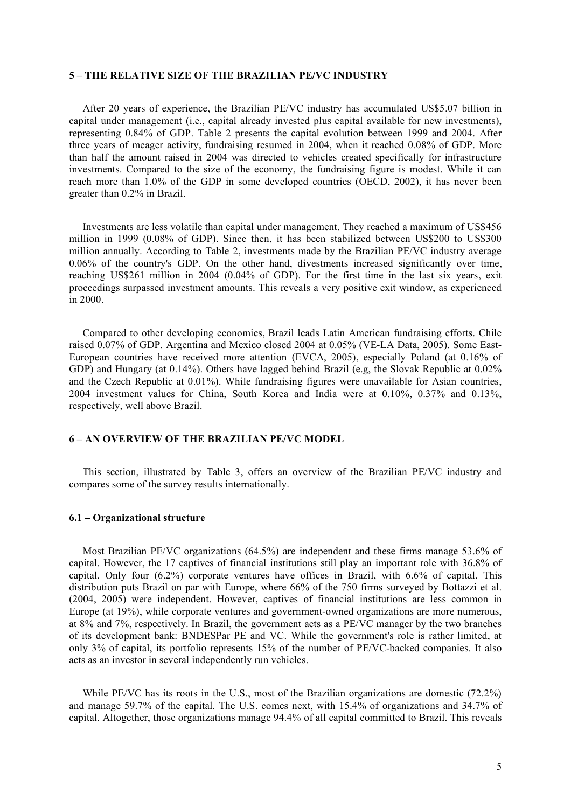#### **5 – THE RELATIVE SIZE OF THE BRAZILIAN PE/VC INDUSTRY**

After 20 years of experience, the Brazilian PE/VC industry has accumulated US\$5.07 billion in capital under management (i.e., capital already invested plus capital available for new investments), representing 0.84% of GDP. Table 2 presents the capital evolution between 1999 and 2004. After three years of meager activity, fundraising resumed in 2004, when it reached 0.08% of GDP. More than half the amount raised in 2004 was directed to vehicles created specifically for infrastructure investments. Compared to the size of the economy, the fundraising figure is modest. While it can reach more than 1.0% of the GDP in some developed countries (OECD, 2002), it has never been greater than 0.2% in Brazil.

Investments are less volatile than capital under management. They reached a maximum of US\$456 million in 1999 (0.08% of GDP). Since then, it has been stabilized between US\$200 to US\$300 million annually. According to Table 2, investments made by the Brazilian PE/VC industry average 0.06% of the country's GDP. On the other hand, divestments increased significantly over time, reaching US\$261 million in 2004 (0.04% of GDP). For the first time in the last six years, exit proceedings surpassed investment amounts. This reveals a very positive exit window, as experienced in 2000.

Compared to other developing economies, Brazil leads Latin American fundraising efforts. Chile raised 0.07% of GDP. Argentina and Mexico closed 2004 at 0.05% (VE-LA Data, 2005). Some East-European countries have received more attention (EVCA, 2005), especially Poland (at 0.16% of GDP) and Hungary (at 0.14%). Others have lagged behind Brazil (e.g, the Slovak Republic at 0.02% and the Czech Republic at 0.01%). While fundraising figures were unavailable for Asian countries, 2004 investment values for China, South Korea and India were at 0.10%, 0.37% and 0.13%, respectively, well above Brazil.

# **6 – AN OVERVIEW OF THE BRAZILIAN PE/VC MODEL**

This section, illustrated by Table 3, offers an overview of the Brazilian PE/VC industry and compares some of the survey results internationally.

#### **6.1 – Organizational structure**

Most Brazilian PE/VC organizations (64.5%) are independent and these firms manage 53.6% of capital. However, the 17 captives of financial institutions still play an important role with 36.8% of capital. Only four (6.2%) corporate ventures have offices in Brazil, with 6.6% of capital. This distribution puts Brazil on par with Europe, where 66% of the 750 firms surveyed by Bottazzi et al. (2004, 2005) were independent. However, captives of financial institutions are less common in Europe (at 19%), while corporate ventures and government-owned organizations are more numerous, at 8% and 7%, respectively. In Brazil, the government acts as a PE/VC manager by the two branches of its development bank: BNDESPar PE and VC. While the government's role is rather limited, at only 3% of capital, its portfolio represents 15% of the number of PE/VC-backed companies. It also acts as an investor in several independently run vehicles.

While PE/VC has its roots in the U.S., most of the Brazilian organizations are domestic (72.2%) and manage 59.7% of the capital. The U.S. comes next, with 15.4% of organizations and 34.7% of capital. Altogether, those organizations manage 94.4% of all capital committed to Brazil. This reveals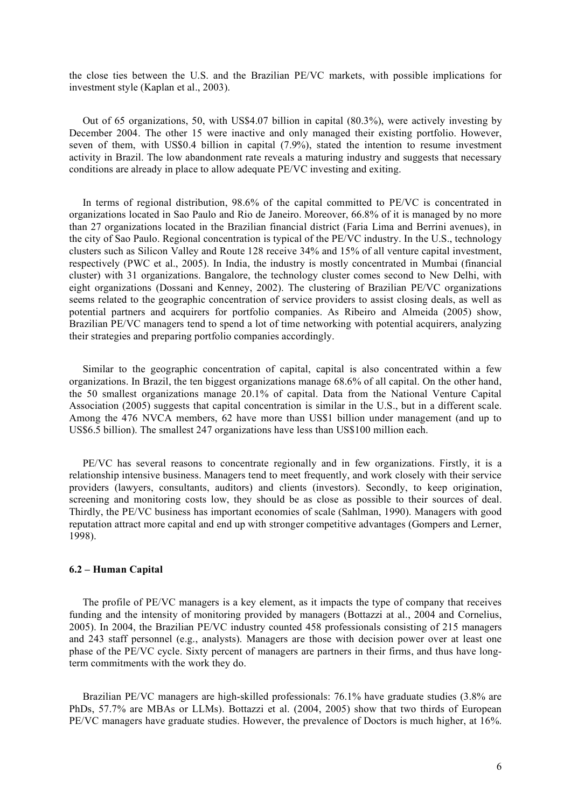the close ties between the U.S. and the Brazilian PE/VC markets, with possible implications for investment style (Kaplan et al., 2003).

Out of 65 organizations, 50, with US\$4.07 billion in capital (80.3%), were actively investing by December 2004. The other 15 were inactive and only managed their existing portfolio. However, seven of them, with US\$0.4 billion in capital (7.9%), stated the intention to resume investment activity in Brazil. The low abandonment rate reveals a maturing industry and suggests that necessary conditions are already in place to allow adequate PE/VC investing and exiting.

In terms of regional distribution, 98.6% of the capital committed to PE/VC is concentrated in organizations located in Sao Paulo and Rio de Janeiro. Moreover, 66.8% of it is managed by no more than 27 organizations located in the Brazilian financial district (Faria Lima and Berrini avenues), in the city of Sao Paulo. Regional concentration is typical of the PE/VC industry. In the U.S., technology clusters such as Silicon Valley and Route 128 receive 34% and 15% of all venture capital investment, respectively (PWC et al., 2005). In India, the industry is mostly concentrated in Mumbai (financial cluster) with 31 organizations. Bangalore, the technology cluster comes second to New Delhi, with eight organizations (Dossani and Kenney, 2002). The clustering of Brazilian PE/VC organizations seems related to the geographic concentration of service providers to assist closing deals, as well as potential partners and acquirers for portfolio companies. As Ribeiro and Almeida (2005) show, Brazilian PE/VC managers tend to spend a lot of time networking with potential acquirers, analyzing their strategies and preparing portfolio companies accordingly.

Similar to the geographic concentration of capital, capital is also concentrated within a few organizations. In Brazil, the ten biggest organizations manage 68.6% of all capital. On the other hand, the 50 smallest organizations manage 20.1% of capital. Data from the National Venture Capital Association (2005) suggests that capital concentration is similar in the U.S., but in a different scale. Among the 476 NVCA members, 62 have more than US\$1 billion under management (and up to US\$6.5 billion). The smallest 247 organizations have less than US\$100 million each.

PE/VC has several reasons to concentrate regionally and in few organizations. Firstly, it is a relationship intensive business. Managers tend to meet frequently, and work closely with their service providers (lawyers, consultants, auditors) and clients (investors). Secondly, to keep origination, screening and monitoring costs low, they should be as close as possible to their sources of deal. Thirdly, the PE/VC business has important economies of scale (Sahlman, 1990). Managers with good reputation attract more capital and end up with stronger competitive advantages (Gompers and Lerner, 1998).

# **6.2 – Human Capital**

The profile of PE/VC managers is a key element, as it impacts the type of company that receives funding and the intensity of monitoring provided by managers (Bottazzi at al., 2004 and Cornelius, 2005). In 2004, the Brazilian PE/VC industry counted 458 professionals consisting of 215 managers and 243 staff personnel (e.g., analysts). Managers are those with decision power over at least one phase of the PE/VC cycle. Sixty percent of managers are partners in their firms, and thus have longterm commitments with the work they do.

Brazilian PE/VC managers are high-skilled professionals: 76.1% have graduate studies (3.8% are PhDs, 57.7% are MBAs or LLMs). Bottazzi et al. (2004, 2005) show that two thirds of European PE/VC managers have graduate studies. However, the prevalence of Doctors is much higher, at 16%.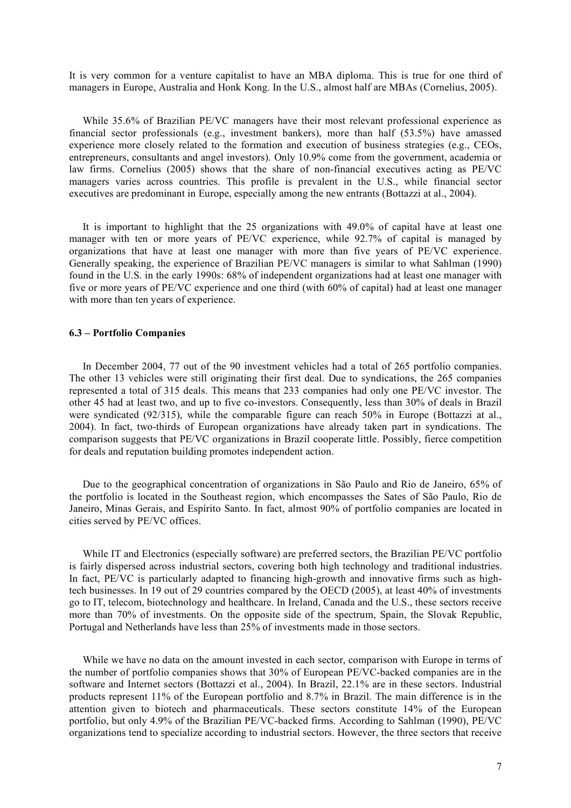It is very common for a venture capitalist to have an MBA diploma. This is true for one third of managers in Europe, Australia and Honk Kong. In the U.S., almost half are MBAs (Cornelius, 2005).

While 35.6% of Brazilian PE/VC managers have their most relevant professional experience as financial sector professionals (e.g., investment bankers), more than half (53.5%) have amassed experience more closely related to the formation and execution of business strategies (e.g., CEOs, entrepreneurs, consultants and angel investors). Only 10.9% come from the government, academia or law firms. Cornelius (2005) shows that the share of non-financial executives acting as PE/VC managers varies across countries. This profile is prevalent in the U.S., while financial sector executives are predominant in Europe, especially among the new entrants (Bottazzi at al., 2004).

It is important to highlight that the 25 organizations with 49.0% of capital have at least one manager with ten or more years of PE/VC experience, while 92.7% of capital is managed by organizations that have at least one manager with more than five years of PE/VC experience. Generally speaking, the experience of Brazilian PE/VC managers is similar to what Sahlman (1990) found in the U.S. in the early 1990s: 68% of independent organizations had at least one manager with five or more years of PE/VC experience and one third (with 60% of capital) had at least one manager with more than ten years of experience.

#### **6.3 – Portfolio Companies**

In December 2004, 77 out of the 90 investment vehicles had a total of 265 portfolio companies. The other 13 vehicles were still originating their first deal. Due to syndications, the 265 companies represented a total of 315 deals. This means that 233 companies had only one PE/VC investor. The other 45 had at least two, and up to five co-investors. Consequently, less than 30% of deals in Brazil were syndicated (92/315), while the comparable figure can reach 50% in Europe (Bottazzi at al., 2004). In fact, two-thirds of European organizations have already taken part in syndications. The comparison suggests that PE/VC organizations in Brazil cooperate little. Possibly, fierce competition for deals and reputation building promotes independent action.

Due to the geographical concentration of organizations in São Paulo and Rio de Janeiro, 65% of the portfolio is located in the Southeast region, which encompasses the Sates of São Paulo, Rio de Janeiro, Minas Gerais, and Espírito Santo. In fact, almost 90% of portfolio companies are located in cities served by PE/VC offices.

While IT and Electronics (especially software) are preferred sectors, the Brazilian PE/VC portfolio is fairly dispersed across industrial sectors, covering both high technology and traditional industries. In fact, PE/VC is particularly adapted to financing high-growth and innovative firms such as hightech businesses. In 19 out of 29 countries compared by the OECD (2005), at least 40% of investments go to IT, telecom, biotechnology and healthcare. In Ireland, Canada and the U.S., these sectors receive more than 70% of investments. On the opposite side of the spectrum, Spain, the Slovak Republic, Portugal and Netherlands have less than  $25\%$  of investments made in those sectors.

While we have no data on the amount invested in each sector, comparison with Europe in terms of the number of portfolio companies shows that 30% of European PE/VC-backed companies are in the software and Internet sectors (Bottazzi et al., 2004). In Brazil, 22.1% are in these sectors. Industrial products represent 11% of the European portfolio and 8.7% in Brazil. The main difference is in the attention given to biotech and pharmaceuticals. These sectors constitute 14% of the European portfolio, but only 4.9% of the Brazilian PE/VC-backed firms. According to Sahlman (1990), PE/VC organizations tend to specialize according to industrial sectors. However, the three sectors that receive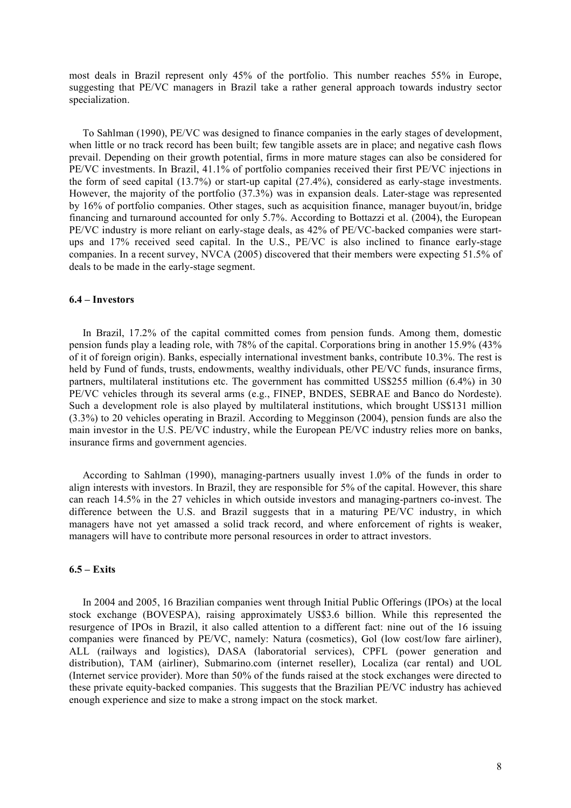most deals in Brazil represent only 45% of the portfolio. This number reaches 55% in Europe, suggesting that PE/VC managers in Brazil take a rather general approach towards industry sector specialization.

To Sahlman (1990), PE/VC was designed to finance companies in the early stages of development, when little or no track record has been built; few tangible assets are in place; and negative cash flows prevail. Depending on their growth potential, firms in more mature stages can also be considered for PE/VC investments. In Brazil, 41.1% of portfolio companies received their first PE/VC injections in the form of seed capital (13.7%) or start-up capital (27.4%), considered as early-stage investments. However, the majority of the portfolio (37.3%) was in expansion deals. Later-stage was represented by 16% of portfolio companies. Other stages, such as acquisition finance, manager buyout/in, bridge financing and turnaround accounted for only 5.7%. According to Bottazzi et al. (2004), the European PE/VC industry is more reliant on early-stage deals, as 42% of PE/VC-backed companies were startups and 17% received seed capital. In the U.S., PE/VC is also inclined to finance early-stage companies. In a recent survey, NVCA (2005) discovered that their members were expecting 51.5% of deals to be made in the early-stage segment.

# **6.4 – Investors**

In Brazil, 17.2% of the capital committed comes from pension funds. Among them, domestic pension funds play a leading role, with 78% of the capital. Corporations bring in another 15.9% (43% of it of foreign origin). Banks, especially international investment banks, contribute 10.3%. The rest is held by Fund of funds, trusts, endowments, wealthy individuals, other PE/VC funds, insurance firms, partners, multilateral institutions etc. The government has committed US\$255 million (6.4%) in 30 PE/VC vehicles through its several arms (e.g., FINEP, BNDES, SEBRAE and Banco do Nordeste). Such a development role is also played by multilateral institutions, which brought US\$131 million (3.3%) to 20 vehicles operating in Brazil. According to Megginson (2004), pension funds are also the main investor in the U.S. PE/VC industry, while the European PE/VC industry relies more on banks, insurance firms and government agencies.

According to Sahlman (1990), managing-partners usually invest 1.0% of the funds in order to align interests with investors. In Brazil, they are responsible for 5% of the capital. However, this share can reach 14.5% in the 27 vehicles in which outside investors and managing-partners co-invest. The difference between the U.S. and Brazil suggests that in a maturing PE/VC industry, in which managers have not yet amassed a solid track record, and where enforcement of rights is weaker, managers will have to contribute more personal resources in order to attract investors.

#### **6.5 – Exits**

In 2004 and 2005, 16 Brazilian companies went through Initial Public Offerings (IPOs) at the local stock exchange (BOVESPA), raising approximately US\$3.6 billion. While this represented the resurgence of IPOs in Brazil, it also called attention to a different fact: nine out of the 16 issuing companies were financed by PE/VC, namely: Natura (cosmetics), Gol (low cost/low fare airliner), ALL (railways and logistics), DASA (laboratorial services), CPFL (power generation and distribution), TAM (airliner), Submarino.com (internet reseller), Localiza (car rental) and UOL (Internet service provider). More than 50% of the funds raised at the stock exchanges were directed to these private equity-backed companies. This suggests that the Brazilian PE/VC industry has achieved enough experience and size to make a strong impact on the stock market.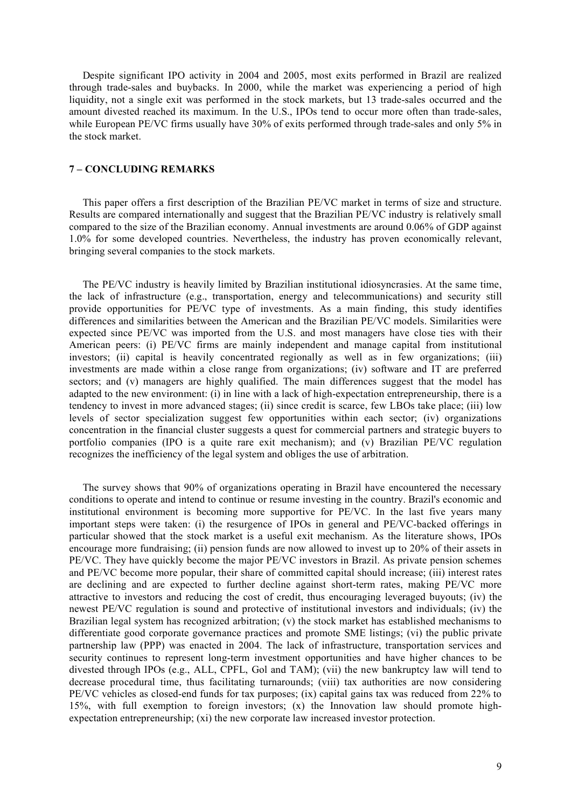Despite significant IPO activity in 2004 and 2005, most exits performed in Brazil are realized through trade-sales and buybacks. In 2000, while the market was experiencing a period of high liquidity, not a single exit was performed in the stock markets, but 13 trade-sales occurred and the amount divested reached its maximum. In the U.S., IPOs tend to occur more often than trade-sales, while European PE/VC firms usually have 30% of exits performed through trade-sales and only 5% in the stock market.

# **7 – CONCLUDING REMARKS**

This paper offers a first description of the Brazilian PE/VC market in terms of size and structure. Results are compared internationally and suggest that the Brazilian PE/VC industry is relatively small compared to the size of the Brazilian economy. Annual investments are around 0.06% of GDP against 1.0% for some developed countries. Nevertheless, the industry has proven economically relevant, bringing several companies to the stock markets.

The PE/VC industry is heavily limited by Brazilian institutional idiosyncrasies. At the same time, the lack of infrastructure (e.g., transportation, energy and telecommunications) and security still provide opportunities for PE/VC type of investments. As a main finding, this study identifies differences and similarities between the American and the Brazilian PE/VC models. Similarities were expected since PE/VC was imported from the U.S. and most managers have close ties with their American peers: (i) PE/VC firms are mainly independent and manage capital from institutional investors; (ii) capital is heavily concentrated regionally as well as in few organizations; (iii) investments are made within a close range from organizations; (iv) software and IT are preferred sectors; and (v) managers are highly qualified. The main differences suggest that the model has adapted to the new environment: (i) in line with a lack of high-expectation entrepreneurship, there is a tendency to invest in more advanced stages; (ii) since credit is scarce, few LBOs take place; (iii) low levels of sector specialization suggest few opportunities within each sector; (iv) organizations concentration in the financial cluster suggests a quest for commercial partners and strategic buyers to portfolio companies (IPO is a quite rare exit mechanism); and (v) Brazilian PE/VC regulation recognizes the inefficiency of the legal system and obliges the use of arbitration.

The survey shows that 90% of organizations operating in Brazil have encountered the necessary conditions to operate and intend to continue or resume investing in the country. Brazil's economic and institutional environment is becoming more supportive for PE/VC. In the last five years many important steps were taken: (i) the resurgence of IPOs in general and PE/VC-backed offerings in particular showed that the stock market is a useful exit mechanism. As the literature shows, IPOs encourage more fundraising; (ii) pension funds are now allowed to invest up to 20% of their assets in PE/VC. They have quickly become the major PE/VC investors in Brazil. As private pension schemes and PE/VC become more popular, their share of committed capital should increase; (iii) interest rates are declining and are expected to further decline against short-term rates, making PE/VC more attractive to investors and reducing the cost of credit, thus encouraging leveraged buyouts; (iv) the newest PE/VC regulation is sound and protective of institutional investors and individuals; (iv) the Brazilian legal system has recognized arbitration; (v) the stock market has established mechanisms to differentiate good corporate governance practices and promote SME listings; (vi) the public private partnership law (PPP) was enacted in 2004. The lack of infrastructure, transportation services and security continues to represent long-term investment opportunities and have higher chances to be divested through IPOs (e.g., ALL, CPFL, Gol and TAM); (vii) the new bankruptcy law will tend to decrease procedural time, thus facilitating turnarounds; (viii) tax authorities are now considering PE/VC vehicles as closed-end funds for tax purposes; (ix) capital gains tax was reduced from 22% to 15%, with full exemption to foreign investors; (x) the Innovation law should promote highexpectation entrepreneurship; (xi) the new corporate law increased investor protection.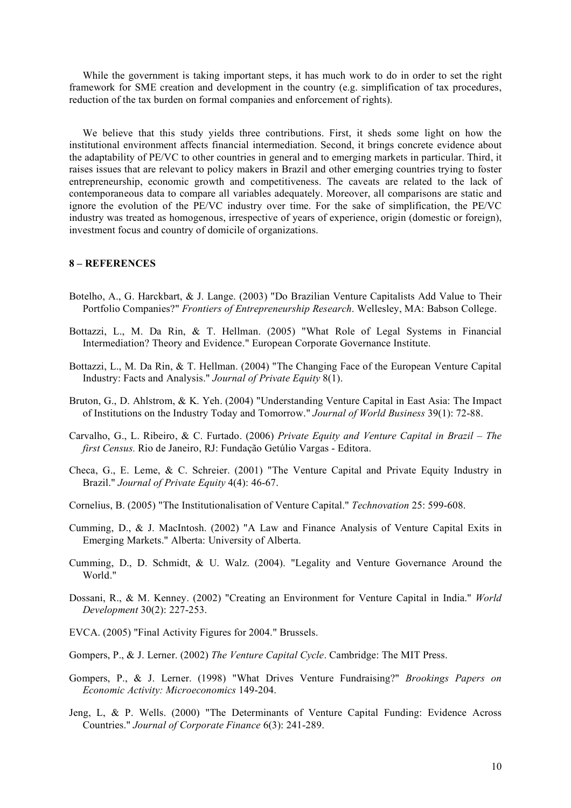While the government is taking important steps, it has much work to do in order to set the right framework for SME creation and development in the country (e.g. simplification of tax procedures, reduction of the tax burden on formal companies and enforcement of rights).

We believe that this study yields three contributions. First, it sheds some light on how the institutional environment affects financial intermediation. Second, it brings concrete evidence about the adaptability of PE/VC to other countries in general and to emerging markets in particular. Third, it raises issues that are relevant to policy makers in Brazil and other emerging countries trying to foster entrepreneurship, economic growth and competitiveness. The caveats are related to the lack of contemporaneous data to compare all variables adequately. Moreover, all comparisons are static and ignore the evolution of the PE/VC industry over time. For the sake of simplification, the PE/VC industry was treated as homogenous, irrespective of years of experience, origin (domestic or foreign), investment focus and country of domicile of organizations.

#### **8 – REFERENCES**

- Botelho, A., G. Harckbart, & J. Lange. (2003) "Do Brazilian Venture Capitalists Add Value to Their Portfolio Companies?" *Frontiers of Entrepreneurship Research*. Wellesley, MA: Babson College.
- Bottazzi, L., M. Da Rin, & T. Hellman. (2005) "What Role of Legal Systems in Financial Intermediation? Theory and Evidence." European Corporate Governance Institute.
- Bottazzi, L., M. Da Rin, & T. Hellman. (2004) "The Changing Face of the European Venture Capital Industry: Facts and Analysis." *Journal of Private Equity* 8(1).
- Bruton, G., D. Ahlstrom, & K. Yeh. (2004) "Understanding Venture Capital in East Asia: The Impact of Institutions on the Industry Today and Tomorrow." *Journal of World Business* 39(1): 72-88.
- Carvalho, G., L. Ribeiro, & C. Furtado. (2006) *Private Equity and Venture Capital in Brazil – The first Census.* Rio de Janeiro, RJ: Fundação Getúlio Vargas - Editora.
- Checa, G., E. Leme, & C. Schreier. (2001) "The Venture Capital and Private Equity Industry in Brazil." *Journal of Private Equity* 4(4): 46-67.
- Cornelius, B. (2005) "The Institutionalisation of Venture Capital." *Technovation* 25: 599-608.
- Cumming, D., & J. MacIntosh. (2002) "A Law and Finance Analysis of Venture Capital Exits in Emerging Markets." Alberta: University of Alberta.
- Cumming, D., D. Schmidt, & U. Walz. (2004). "Legality and Venture Governance Around the World."
- Dossani, R., & M. Kenney. (2002) "Creating an Environment for Venture Capital in India." *World Development* 30(2): 227-253.
- EVCA. (2005) "Final Activity Figures for 2004." Brussels.
- Gompers, P., & J. Lerner. (2002) *The Venture Capital Cycle*. Cambridge: The MIT Press.
- Gompers, P., & J. Lerner. (1998) "What Drives Venture Fundraising?" *Brookings Papers on Economic Activity: Microeconomics* 149-204.
- Jeng, L, & P. Wells. (2000) "The Determinants of Venture Capital Funding: Evidence Across Countries." *Journal of Corporate Finance* 6(3): 241-289.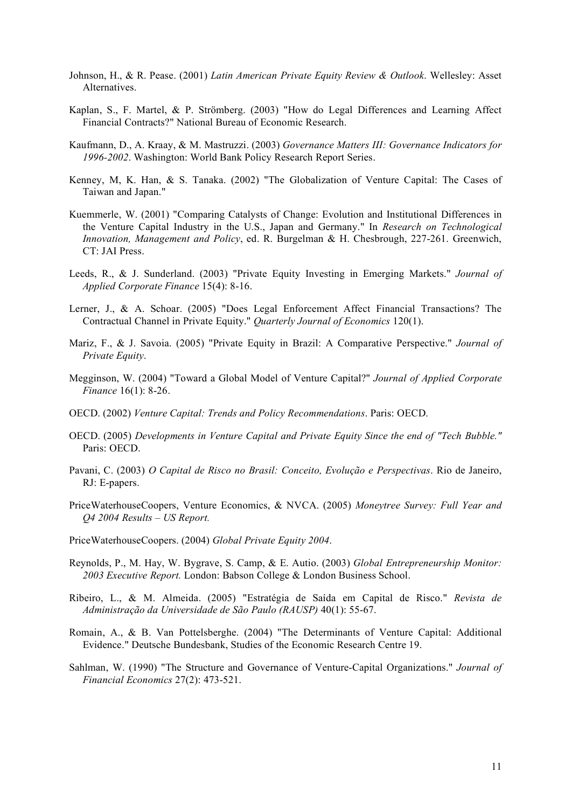- Johnson, H., & R. Pease. (2001) *Latin American Private Equity Review & Outlook*. Wellesley: Asset **Alternatives**
- Kaplan, S., F. Martel, & P. Strömberg. (2003) "How do Legal Differences and Learning Affect Financial Contracts?" National Bureau of Economic Research.
- Kaufmann, D., A. Kraay, & M. Mastruzzi. (2003) *Governance Matters III: Governance Indicators for 1996-2002*. Washington: World Bank Policy Research Report Series.
- Kenney, M, K. Han, & S. Tanaka. (2002) "The Globalization of Venture Capital: The Cases of Taiwan and Japan."
- Kuemmerle, W. (2001) "Comparing Catalysts of Change: Evolution and Institutional Differences in the Venture Capital Industry in the U.S., Japan and Germany." In *Research on Technological Innovation, Management and Policy*, ed. R. Burgelman & H. Chesbrough, 227-261. Greenwich, CT: JAI Press.
- Leeds, R., & J. Sunderland. (2003) "Private Equity Investing in Emerging Markets." *Journal of Applied Corporate Finance* 15(4): 8-16.
- Lerner, J., & A. Schoar. (2005) "Does Legal Enforcement Affect Financial Transactions? The Contractual Channel in Private Equity." *Quarterly Journal of Economics* 120(1).
- Mariz, F., & J. Savoia. (2005) "Private Equity in Brazil: A Comparative Perspective." *Journal of Private Equity*.
- Megginson, W. (2004) "Toward a Global Model of Venture Capital?" *Journal of Applied Corporate Finance* 16(1): 8-26.
- OECD. (2002) *Venture Capital: Trends and Policy Recommendations*. Paris: OECD.
- OECD. (2005) *Developments in Venture Capital and Private Equity Since the end of "Tech Bubble."* Paris: OECD.
- Pavani, C. (2003) *O Capital de Risco no Brasil: Conceito, Evolução e Perspectivas*. Rio de Janeiro, RJ: E-papers.
- PriceWaterhouseCoopers, Venture Economics, & NVCA. (2005) *Moneytree Survey: Full Year and Q4 2004 Results – US Report.*
- PriceWaterhouseCoopers. (2004) *Global Private Equity 2004*.
- Reynolds, P., M. Hay, W. Bygrave, S. Camp, & E. Autio. (2003) *Global Entrepreneurship Monitor: 2003 Executive Report.* London: Babson College & London Business School.
- Ribeiro, L., & M. Almeida. (2005) "Estratégia de Saída em Capital de Risco." *Revista de Administração da Universidade de São Paulo (RAUSP)* 40(1): 55-67.
- Romain, A., & B. Van Pottelsberghe. (2004) "The Determinants of Venture Capital: Additional Evidence." Deutsche Bundesbank, Studies of the Economic Research Centre 19.
- Sahlman, W. (1990) "The Structure and Governance of Venture-Capital Organizations." *Journal of Financial Economics* 27(2): 473-521.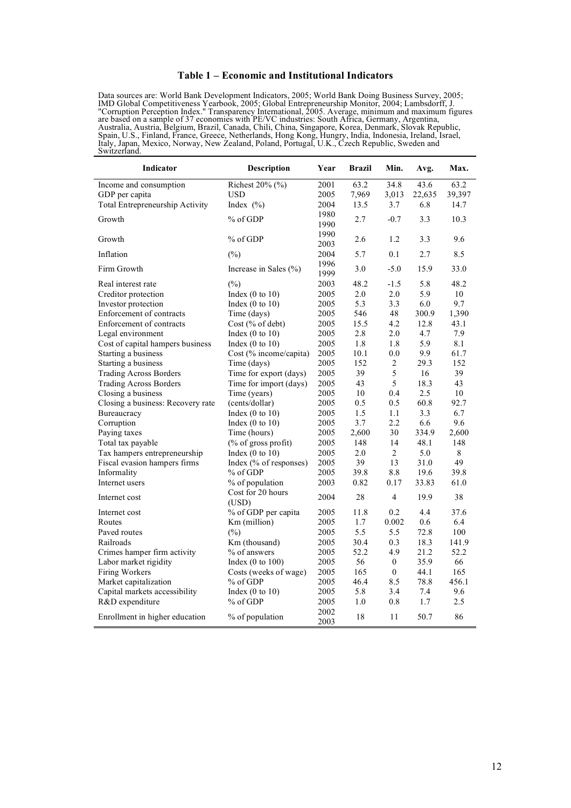# **Table 1 – Economic and Institutional Indicators**

Data sources are: World Bank Development Indicators, 2005; World Bank Doing Business Survey, 2005; IMD Global Competitiveness Yearbook, 2005; Global Entrepreneurship Monitor, 2004; Lambsdorff, J.<br>"Corruption Perception Index." Transparency International, 2005. Average, minimum and maximum figures<br>are based on a sample o Switzerland.

| Indicator                         | Description                          |              | <b>Brazil</b> | Min.             | Avg.   | Max.   |
|-----------------------------------|--------------------------------------|--------------|---------------|------------------|--------|--------|
| Income and consumption            | Richest 20% (%)                      | 2001         | 63.2          | 34.8             | 43.6   | 63.2   |
| GDP per capita                    | <b>USD</b>                           | 2005         | 7,969         | 3,013            | 22,635 | 39,397 |
| Total Entrepreneurship Activity   | Index $(\% )$                        | 2004         | 13.5          | 3.7              | 6.8    | 14.7   |
| Growth                            | % of GDP                             | 1980<br>1990 | 2.7           | $-0.7$           | 3.3    | 10.3   |
| Growth                            | % of GDP                             | 1990<br>2003 | 2.6           | 1.2              | 3.3    | 9.6    |
| Inflation                         | $(\%)$                               | 2004         | 5.7           | 0.1              | 2.7    | 8.5    |
| Firm Growth                       | Increase in Sales $(\% )$            | 1996<br>1999 | 3.0           | $-5.0$           | 15.9   | 33.0   |
| Real interest rate                | $(\%)$                               | 2003         | 48.2          | $-1.5$           | 5.8    | 48.2   |
| Creditor protection               | Index $(0 \text{ to } 10)$           | 2005         | 2.0           | 2.0              | 5.9    | 10     |
| Investor protection               | Index $(0 \text{ to } 10)$           | 2005         | 5.3           | 3.3              | 6.0    | 9.7    |
| Enforcement of contracts          | Time (days)                          | 2005         | 546           | 48               | 300.9  | 1,390  |
| Enforcement of contracts          | Cost (% of debt)                     | 2005         | 15.5          | 4.2              | 12.8   | 43.1   |
| Legal environment                 | Index $(0 \text{ to } 10)$           | 2005         | 2.8           | 2.0              | 4.7    | 7.9    |
| Cost of capital hampers business  | Index $(0 \text{ to } 10)$           | 2005         | 1.8           | 1.8              | 5.9    | 8.1    |
| Starting a business               | Cost (% income/capita)               | 2005         | 10.1          | 0.0              | 9.9    | 61.7   |
| Starting a business               | Time (days)                          | 2005         | 152           | $\overline{c}$   | 29.3   | 152    |
| <b>Trading Across Borders</b>     | Time for export (days)               | 2005         | 39            | 5                | 16     | 39     |
| <b>Trading Across Borders</b>     | Time for import (days)               | 2005         | 43            | 5                | 18.3   | 43     |
| Closing a business                | Time (years)                         | 2005         | 10            | 0.4              | 2.5    | 10     |
| Closing a business: Recovery rate | (cents/dollar)                       | 2005         | 0.5           | 0.5              | 60.8   | 92.7   |
| Bureaucracy                       | Index $(0 \text{ to } 10)$           | 2005         | 1.5           | 1.1              | 3.3    | 6.7    |
| Corruption                        | Index $(0 \text{ to } 10)$           | 2005         | 3.7           | 2.2              | 6.6    | 9.6    |
| Paying taxes                      | Time (hours)                         | 2005         | 2,600         | 30               | 334.9  | 2,600  |
| Total tax payable                 | (% of gross profit)                  | 2005         | 148           | 14               | 48.1   | 148    |
| Tax hampers entrepreneurship      | Index $(0 \text{ to } 10)$           | 2005         | 2.0           | $\overline{2}$   | 5.0    | 8      |
| Fiscal evasion hampers firms      | Index (% of responses)               | 2005         | 39            | 13               | 31.0   | 49     |
| Informality                       | % of GDP                             | 2005         | 39.8          | 8.8              | 19.6   | 39.8   |
| Internet users                    | % of population<br>Cost for 20 hours | 2003         | 0.82          | 0.17             | 33.83  | 61.0   |
| Internet cost                     | (USD)                                | 2004         | 28            | $\overline{4}$   | 19.9   | 38     |
| Internet cost                     | % of GDP per capita                  | 2005         | 11.8          | 0.2              | 4.4    | 37.6   |
| Routes                            | Km (million)                         | 2005         | 1.7           | 0.002            | 0.6    | 6.4    |
| Paved routes                      | $(\%)$                               | 2005         | 5.5           | 5.5              | 72.8   | 100    |
| Railroads                         | Km (thousand)                        | 2005         | 30.4          | 0.3              | 18.3   | 141.9  |
| Crimes hamper firm activity       | % of answers                         | 2005         | 52.2          | 4.9              | 21.2   | 52.2   |
| Labor market rigidity             | Index $(0 \text{ to } 100)$          | 2005         | 56            | $\boldsymbol{0}$ | 35.9   | 66     |
| Firing Workers                    | Costs (weeks of wage)                | 2005         | 165           | $\boldsymbol{0}$ | 44.1   | 165    |
| Market capitalization             | % of GDP                             | 2005         | 46.4          | 8.5              | 78.8   | 456.1  |
| Capital markets accessibility     | Index $(0 \text{ to } 10)$           | 2005         | 5.8           | 3.4              | 7.4    | 9.6    |
| R&D expenditure                   | % of GDP                             | 2005         | 1.0           | 0.8              | 1.7    | 2.5    |
| Enrollment in higher education    | % of population                      | 2002<br>2003 | 18            | 11               | 50.7   | 86     |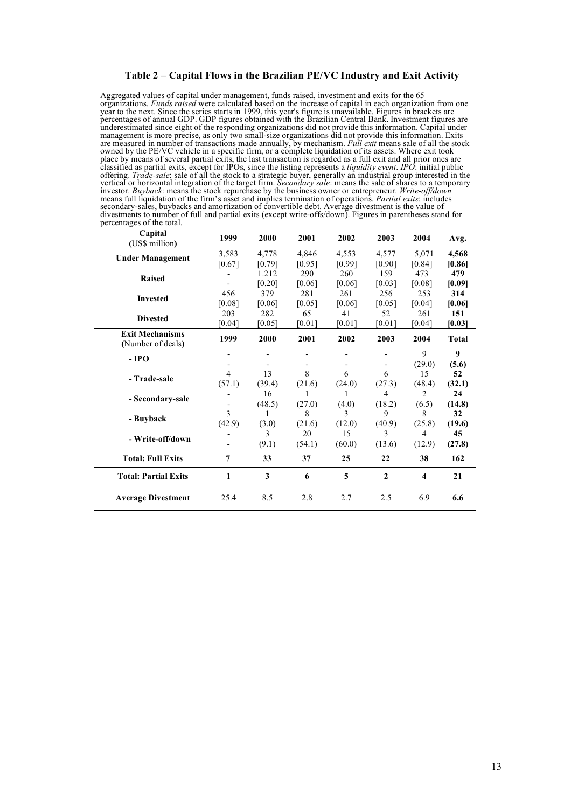#### **Table 2 – Capital Flows in the Brazilian PE/VC Industry and Exit Activity**

Aggregated values of capital under management, funds raised, investment and exits for the 65 organizations. *Funds raised* were calculated based on the increase of capital in each organization from one year to the next. Si place by means of several partial exits, the last transaction is regarded as a full exit and all prior ones are<br>classified as partial exits, except for IPOs, since the listing represents a *liquidity event. IPO*: initial p investor. *Buyback*: means the stock repurchase by the business owner or entrepreneur. *Write-off/down*<br>means full liquidation of the firm's asset and implies termination of operations. *Partial exits:* includes<br>secondarysecondary-sales, buybacks and amortization of convertible debt. Average divestment is the value of divestments to number of full and partial exits (except write-offs/down). Figures in parentheses stand for percentages of t

| Capital<br>(US\$ million)   | 1999           | 2000   | 2001     | 2002   | 2003         | 2004   | Avg.         |
|-----------------------------|----------------|--------|----------|--------|--------------|--------|--------------|
| <b>Under Management</b>     | 3,583          | 4,778  | 4,846    | 4,553  | 4,577        | 5,071  | 4,568        |
|                             | [0.67]         | [0.79] | [0.95]   | [0.99] | [0.90]       | [0.84] | [0.86]       |
| <b>Raised</b>               |                | 1.212  | 290      | 260    | 159          | 473    | 479          |
|                             |                | [0.20] | [0.06]   | [0.06] | [0.03]       | [0.08] | [0.09]       |
| <b>Invested</b>             | 456            | 379    | 281      | 261    | 256          | 253    | 314          |
|                             | [0.08]         | [0.06] | [0.05]   | [0.06] | [0.05]       | [0.04] | [0.06]       |
| <b>Divested</b>             | 203            | 282    | 65       | 41     | 52           | 261    | 151          |
|                             | [0.04]         | [0.05] | $[0.01]$ | [0.01] | [0.01]       | [0.04] | [0.03]       |
| <b>Exit Mechanisms</b>      | 1999           | 2000   | 2001     | 2002   | 2003         | 2004   | <b>Total</b> |
| (Number of deals)           |                |        |          |        |              |        |              |
| - IPO                       |                |        |          |        |              | 9      | 9            |
| - Trade-sale                |                |        |          |        |              | (29.0) | (5.6)        |
|                             | $\overline{4}$ | 13     | 8        | 6      | 6            | 15     | 52           |
|                             | (57.1)         | (39.4) | (21.6)   | (24.0) | (27.3)       | (48.4) | (32.1)       |
| - Secondary-sale            |                | 16     | 1        | 1      | 4            | 2      | 24           |
|                             |                | (48.5) | (27.0)   | (4.0)  | (18.2)       | (6.5)  | (14.8)       |
| - Buyback                   | 3              | 1      | 8        | 3      | 9            | 8      | 32           |
|                             | (42.9)         | (3.0)  | (21.6)   | (12.0) | (40.9)       | (25.8) | (19.6)       |
| - Write-off/down            |                | 3      | 20       | 15     | 3            | 4      | 45           |
|                             |                | (9.1)  | (54.1)   | (60.0) | (13.6)       | (12.9) | (27.8)       |
| <b>Total: Full Exits</b>    | 7              | 33     | 37       | 25     | 22           | 38     | 162          |
| <b>Total: Partial Exits</b> | 1              | 3      | 6        | 5      | $\mathbf{2}$ | 4      | 21           |
| <b>Average Divestment</b>   | 25.4           | 8.5    | 2.8      | 2.7    | 2.5          | 6.9    | 6.6          |